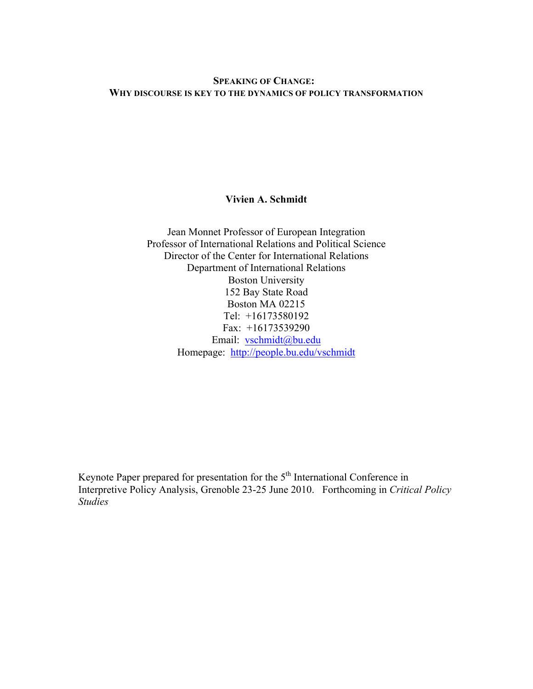# **SPEAKING OF CHANGE: WHY DISCOURSE IS KEY TO THE DYNAMICS OF POLICY TRANSFORMATION**

# **Vivien A. Schmidt**

Jean Monnet Professor of European Integration Professor of International Relations and Political Science Director of the Center for International Relations Department of International Relations Boston University 152 Bay State Road Boston MA 02215 Tel: +16173580192 Fax: +16173539290 Email: vschmidt@bu.edu Homepage: http://people.bu.edu/vschmidt

Keynote Paper prepared for presentation for the 5<sup>th</sup> International Conference in Interpretive Policy Analysis, Grenoble 23-25 June 2010. Forthcoming in *Critical Policy Studies*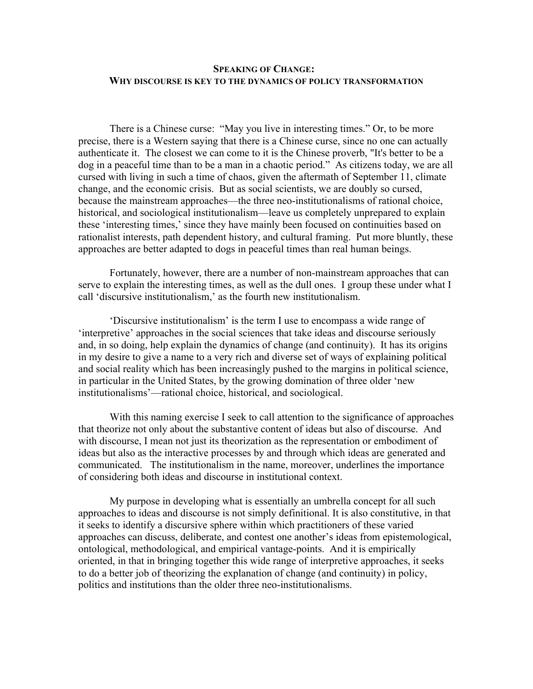## **SPEAKING OF CHANGE: WHY DISCOURSE IS KEY TO THE DYNAMICS OF POLICY TRANSFORMATION**

There is a Chinese curse: "May you live in interesting times." Or, to be more precise, there is a Western saying that there is a Chinese curse, since no one can actually authenticate it. The closest we can come to it is the Chinese proverb, "It's better to be a dog in a peaceful time than to be a man in a chaotic period." As citizens today, we are all cursed with living in such a time of chaos, given the aftermath of September 11, climate change, and the economic crisis. But as social scientists, we are doubly so cursed, because the mainstream approaches—the three neo-institutionalisms of rational choice, historical, and sociological institutionalism—leave us completely unprepared to explain these 'interesting times,' since they have mainly been focused on continuities based on rationalist interests, path dependent history, and cultural framing. Put more bluntly, these approaches are better adapted to dogs in peaceful times than real human beings.

Fortunately, however, there are a number of non-mainstream approaches that can serve to explain the interesting times, as well as the dull ones. I group these under what I call 'discursive institutionalism,' as the fourth new institutionalism.

'Discursive institutionalism' is the term I use to encompass a wide range of 'interpretive' approaches in the social sciences that take ideas and discourse seriously and, in so doing, help explain the dynamics of change (and continuity). It has its origins in my desire to give a name to a very rich and diverse set of ways of explaining political and social reality which has been increasingly pushed to the margins in political science, in particular in the United States, by the growing domination of three older 'new institutionalisms'—rational choice, historical, and sociological.

With this naming exercise I seek to call attention to the significance of approaches that theorize not only about the substantive content of ideas but also of discourse. And with discourse, I mean not just its theorization as the representation or embodiment of ideas but also as the interactive processes by and through which ideas are generated and communicated. The institutionalism in the name, moreover, underlines the importance of considering both ideas and discourse in institutional context.

My purpose in developing what is essentially an umbrella concept for all such approaches to ideas and discourse is not simply definitional. It is also constitutive, in that it seeks to identify a discursive sphere within which practitioners of these varied approaches can discuss, deliberate, and contest one another's ideas from epistemological, ontological, methodological, and empirical vantage-points. And it is empirically oriented, in that in bringing together this wide range of interpretive approaches, it seeks to do a better job of theorizing the explanation of change (and continuity) in policy, politics and institutions than the older three neo-institutionalisms.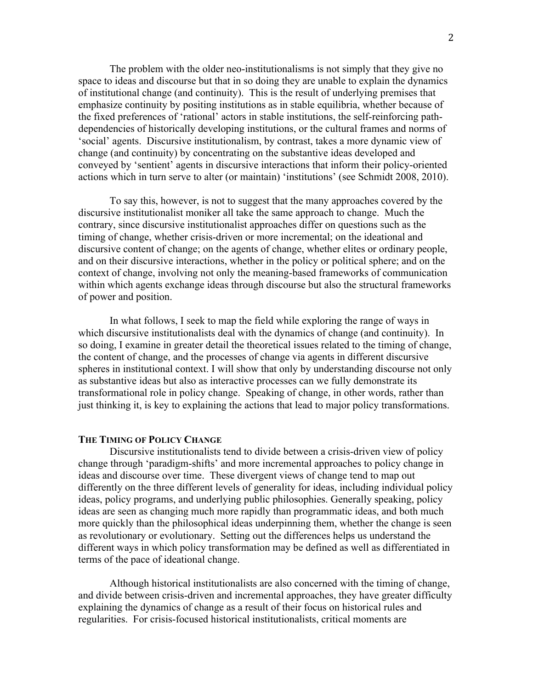The problem with the older neo-institutionalisms is not simply that they give no space to ideas and discourse but that in so doing they are unable to explain the dynamics of institutional change (and continuity). This is the result of underlying premises that emphasize continuity by positing institutions as in stable equilibria, whether because of the fixed preferences of 'rational' actors in stable institutions, the self-reinforcing pathdependencies of historically developing institutions, or the cultural frames and norms of 'social' agents. Discursive institutionalism, by contrast, takes a more dynamic view of change (and continuity) by concentrating on the substantive ideas developed and conveyed by 'sentient' agents in discursive interactions that inform their policy-oriented actions which in turn serve to alter (or maintain) 'institutions' (see Schmidt 2008, 2010).

To say this, however, is not to suggest that the many approaches covered by the discursive institutionalist moniker all take the same approach to change. Much the contrary, since discursive institutionalist approaches differ on questions such as the timing of change, whether crisis-driven or more incremental; on the ideational and discursive content of change; on the agents of change, whether elites or ordinary people, and on their discursive interactions, whether in the policy or political sphere; and on the context of change, involving not only the meaning-based frameworks of communication within which agents exchange ideas through discourse but also the structural frameworks of power and position.

In what follows, I seek to map the field while exploring the range of ways in which discursive institutionalists deal with the dynamics of change (and continuity). In so doing, I examine in greater detail the theoretical issues related to the timing of change, the content of change, and the processes of change via agents in different discursive spheres in institutional context. I will show that only by understanding discourse not only as substantive ideas but also as interactive processes can we fully demonstrate its transformational role in policy change. Speaking of change, in other words, rather than just thinking it, is key to explaining the actions that lead to major policy transformations.

### **THE TIMING OF POLICY CHANGE**

Discursive institutionalists tend to divide between a crisis-driven view of policy change through 'paradigm-shifts' and more incremental approaches to policy change in ideas and discourse over time. These divergent views of change tend to map out differently on the three different levels of generality for ideas, including individual policy ideas, policy programs, and underlying public philosophies. Generally speaking, policy ideas are seen as changing much more rapidly than programmatic ideas, and both much more quickly than the philosophical ideas underpinning them, whether the change is seen as revolutionary or evolutionary. Setting out the differences helps us understand the different ways in which policy transformation may be defined as well as differentiated in terms of the pace of ideational change.

Although historical institutionalists are also concerned with the timing of change, and divide between crisis-driven and incremental approaches, they have greater difficulty explaining the dynamics of change as a result of their focus on historical rules and regularities. For crisis-focused historical institutionalists, critical moments are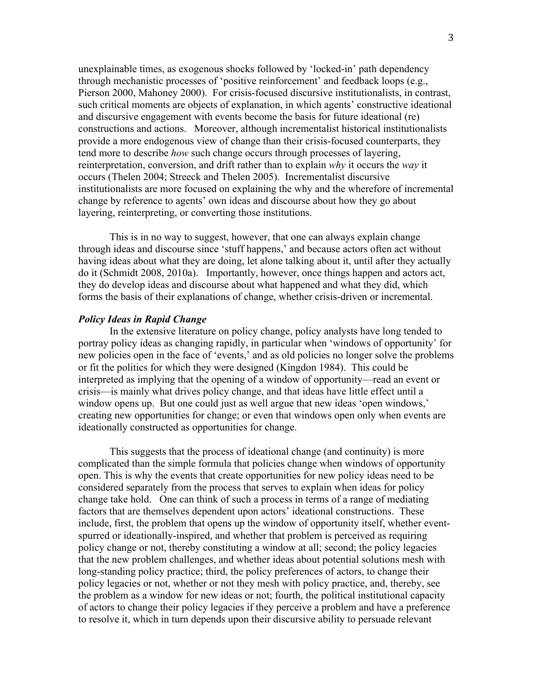unexplainable times, as exogenous shocks followed by 'locked-in' path dependency through mechanistic processes of 'positive reinforcement' and feedback loops (e.g., Pierson 2000, Mahoney 2000). For crisis-focused discursive institutionalists, in contrast, such critical moments are objects of explanation, in which agents' constructive ideational and discursive engagement with events become the basis for future ideational (re) constructions and actions. Moreover, although incrementalist historical institutionalists provide a more endogenous view of change than their crisis-focused counterparts, they tend more to describe *how* such change occurs through processes of layering, reinterpretation, conversion, and drift rather than to explain *why* it occurs the *way* it occurs (Thelen 2004; Streeck and Thelen 2005). Incrementalist discursive institutionalists are more focused on explaining the why and the wherefore of incremental change by reference to agents' own ideas and discourse about how they go about layering, reinterpreting, or converting those institutions.

This is in no way to suggest, however, that one can always explain change through ideas and discourse since 'stuff happens,' and because actors often act without having ideas about what they are doing, let alone talking about it, until after they actually do it (Schmidt 2008, 2010a). Importantly, however, once things happen and actors act, they do develop ideas and discourse about what happened and what they did, which forms the basis of their explanations of change, whether crisis-driven or incremental.

#### *Policy Ideas in Rapid Change*

In the extensive literature on policy change, policy analysts have long tended to portray policy ideas as changing rapidly, in particular when 'windows of opportunity' for new policies open in the face of 'events,' and as old policies no longer solve the problems or fit the politics for which they were designed (Kingdon 1984). This could be interpreted as implying that the opening of a window of opportunity—read an event or crisis—is mainly what drives policy change, and that ideas have little effect until a window opens up. But one could just as well argue that new ideas 'open windows,' creating new opportunities for change; or even that windows open only when events are ideationally constructed as opportunities for change.

This suggests that the process of ideational change (and continuity) is more complicated than the simple formula that policies change when windows of opportunity open. This is why the events that create opportunities for new policy ideas need to be considered separately from the process that serves to explain when ideas for policy change take hold. One can think of such a process in terms of a range of mediating factors that are themselves dependent upon actors' ideational constructions. These include, first, the problem that opens up the window of opportunity itself, whether eventspurred or ideationally-inspired, and whether that problem is perceived as requiring policy change or not, thereby constituting a window at all; second; the policy legacies that the new problem challenges, and whether ideas about potential solutions mesh with long-standing policy practice; third, the policy preferences of actors, to change their policy legacies or not, whether or not they mesh with policy practice, and, thereby, see the problem as a window for new ideas or not; fourth, the political institutional capacity of actors to change their policy legacies if they perceive a problem and have a preference to resolve it, which in turn depends upon their discursive ability to persuade relevant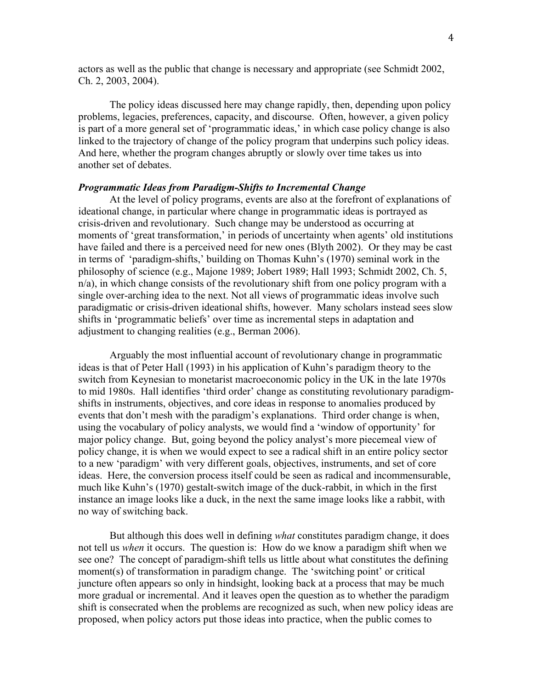actors as well as the public that change is necessary and appropriate (see Schmidt 2002, Ch. 2, 2003, 2004).

The policy ideas discussed here may change rapidly, then, depending upon policy problems, legacies, preferences, capacity, and discourse. Often, however, a given policy is part of a more general set of 'programmatic ideas,' in which case policy change is also linked to the trajectory of change of the policy program that underpins such policy ideas. And here, whether the program changes abruptly or slowly over time takes us into another set of debates.

### *Programmatic Ideas from Paradigm-Shifts to Incremental Change*

At the level of policy programs, events are also at the forefront of explanations of ideational change, in particular where change in programmatic ideas is portrayed as crisis-driven and revolutionary. Such change may be understood as occurring at moments of 'great transformation,' in periods of uncertainty when agents' old institutions have failed and there is a perceived need for new ones (Blyth 2002). Or they may be cast in terms of 'paradigm-shifts,' building on Thomas Kuhn's (1970) seminal work in the philosophy of science (e.g., Majone 1989; Jobert 1989; Hall 1993; Schmidt 2002, Ch. 5, n/a), in which change consists of the revolutionary shift from one policy program with a single over-arching idea to the next. Not all views of programmatic ideas involve such paradigmatic or crisis-driven ideational shifts, however. Many scholars instead sees slow shifts in 'programmatic beliefs' over time as incremental steps in adaptation and adjustment to changing realities (e.g., Berman 2006).

Arguably the most influential account of revolutionary change in programmatic ideas is that of Peter Hall (1993) in his application of Kuhn's paradigm theory to the switch from Keynesian to monetarist macroeconomic policy in the UK in the late 1970s to mid 1980s. Hall identifies 'third order' change as constituting revolutionary paradigmshifts in instruments, objectives, and core ideas in response to anomalies produced by events that don't mesh with the paradigm's explanations. Third order change is when, using the vocabulary of policy analysts, we would find a 'window of opportunity' for major policy change. But, going beyond the policy analyst's more piecemeal view of policy change, it is when we would expect to see a radical shift in an entire policy sector to a new 'paradigm' with very different goals, objectives, instruments, and set of core ideas. Here, the conversion process itself could be seen as radical and incommensurable, much like Kuhn's (1970) gestalt-switch image of the duck-rabbit, in which in the first instance an image looks like a duck, in the next the same image looks like a rabbit, with no way of switching back.

But although this does well in defining *what* constitutes paradigm change, it does not tell us *when* it occurs. The question is: How do we know a paradigm shift when we see one? The concept of paradigm-shift tells us little about what constitutes the defining moment(s) of transformation in paradigm change. The 'switching point' or critical juncture often appears so only in hindsight, looking back at a process that may be much more gradual or incremental. And it leaves open the question as to whether the paradigm shift is consecrated when the problems are recognized as such, when new policy ideas are proposed, when policy actors put those ideas into practice, when the public comes to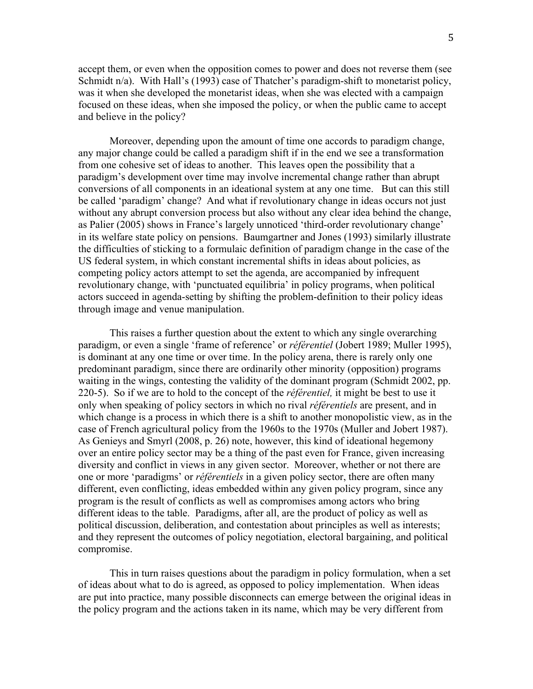accept them, or even when the opposition comes to power and does not reverse them (see Schmidt n/a). With Hall's (1993) case of Thatcher's paradigm-shift to monetarist policy, was it when she developed the monetarist ideas, when she was elected with a campaign focused on these ideas, when she imposed the policy, or when the public came to accept and believe in the policy?

Moreover, depending upon the amount of time one accords to paradigm change, any major change could be called a paradigm shift if in the end we see a transformation from one cohesive set of ideas to another. This leaves open the possibility that a paradigm's development over time may involve incremental change rather than abrupt conversions of all components in an ideational system at any one time. But can this still be called 'paradigm' change? And what if revolutionary change in ideas occurs not just without any abrupt conversion process but also without any clear idea behind the change, as Palier (2005) shows in France's largely unnoticed 'third-order revolutionary change' in its welfare state policy on pensions. Baumgartner and Jones (1993) similarly illustrate the difficulties of sticking to a formulaic definition of paradigm change in the case of the US federal system, in which constant incremental shifts in ideas about policies, as competing policy actors attempt to set the agenda, are accompanied by infrequent revolutionary change, with 'punctuated equilibria' in policy programs, when political actors succeed in agenda-setting by shifting the problem-definition to their policy ideas through image and venue manipulation.

This raises a further question about the extent to which any single overarching paradigm, or even a single 'frame of reference' or *référentiel* (Jobert 1989; Muller 1995), is dominant at any one time or over time. In the policy arena, there is rarely only one predominant paradigm, since there are ordinarily other minority (opposition) programs waiting in the wings, contesting the validity of the dominant program (Schmidt 2002, pp. 220-5). So if we are to hold to the concept of the *référentiel,* it might be best to use it only when speaking of policy sectors in which no rival *référentiels* are present, and in which change is a process in which there is a shift to another monopolistic view, as in the case of French agricultural policy from the 1960s to the 1970s (Muller and Jobert 1987). As Genieys and Smyrl (2008, p. 26) note, however, this kind of ideational hegemony over an entire policy sector may be a thing of the past even for France, given increasing diversity and conflict in views in any given sector. Moreover, whether or not there are one or more 'paradigms' or *référentiels* in a given policy sector, there are often many different, even conflicting, ideas embedded within any given policy program, since any program is the result of conflicts as well as compromises among actors who bring different ideas to the table. Paradigms, after all, are the product of policy as well as political discussion, deliberation, and contestation about principles as well as interests; and they represent the outcomes of policy negotiation, electoral bargaining, and political compromise.

This in turn raises questions about the paradigm in policy formulation, when a set of ideas about what to do is agreed, as opposed to policy implementation. When ideas are put into practice, many possible disconnects can emerge between the original ideas in the policy program and the actions taken in its name, which may be very different from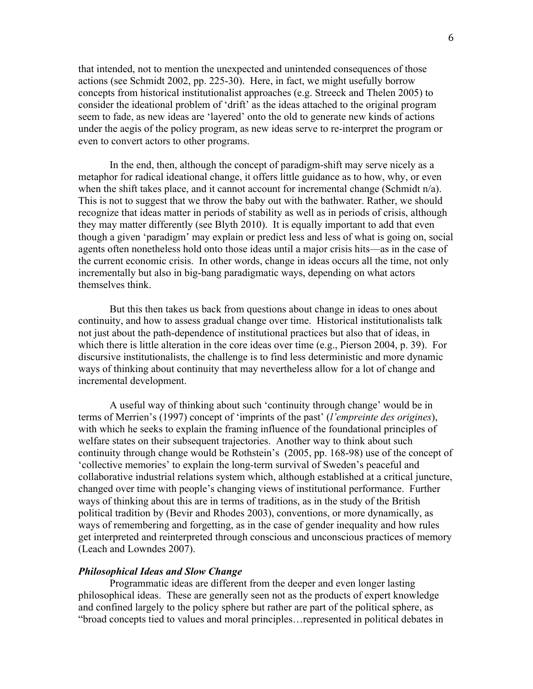that intended, not to mention the unexpected and unintended consequences of those actions (see Schmidt 2002, pp. 225-30). Here, in fact, we might usefully borrow concepts from historical institutionalist approaches (e.g. Streeck and Thelen 2005) to consider the ideational problem of 'drift' as the ideas attached to the original program seem to fade, as new ideas are 'layered' onto the old to generate new kinds of actions under the aegis of the policy program, as new ideas serve to re-interpret the program or even to convert actors to other programs.

In the end, then, although the concept of paradigm-shift may serve nicely as a metaphor for radical ideational change, it offers little guidance as to how, why, or even when the shift takes place, and it cannot account for incremental change (Schmidt n/a). This is not to suggest that we throw the baby out with the bathwater. Rather, we should recognize that ideas matter in periods of stability as well as in periods of crisis, although they may matter differently (see Blyth 2010). It is equally important to add that even though a given 'paradigm' may explain or predict less and less of what is going on, social agents often nonetheless hold onto those ideas until a major crisis hits—as in the case of the current economic crisis. In other words, change in ideas occurs all the time, not only incrementally but also in big-bang paradigmatic ways, depending on what actors themselves think.

But this then takes us back from questions about change in ideas to ones about continuity, and how to assess gradual change over time. Historical institutionalists talk not just about the path-dependence of institutional practices but also that of ideas, in which there is little alteration in the core ideas over time (e.g., Pierson 2004, p. 39). For discursive institutionalists, the challenge is to find less deterministic and more dynamic ways of thinking about continuity that may nevertheless allow for a lot of change and incremental development.

A useful way of thinking about such 'continuity through change' would be in terms of Merrien's (1997) concept of 'imprints of the past' (*l'empreinte des origines*), with which he seeks to explain the framing influence of the foundational principles of welfare states on their subsequent trajectories. Another way to think about such continuity through change would be Rothstein's (2005, pp. 168-98) use of the concept of 'collective memories' to explain the long-term survival of Sweden's peaceful and collaborative industrial relations system which, although established at a critical juncture, changed over time with people's changing views of institutional performance. Further ways of thinking about this are in terms of traditions, as in the study of the British political tradition by (Bevir and Rhodes 2003), conventions, or more dynamically, as ways of remembering and forgetting, as in the case of gender inequality and how rules get interpreted and reinterpreted through conscious and unconscious practices of memory (Leach and Lowndes 2007).

# *Philosophical Ideas and Slow Change*

Programmatic ideas are different from the deeper and even longer lasting philosophical ideas. These are generally seen not as the products of expert knowledge and confined largely to the policy sphere but rather are part of the political sphere, as "broad concepts tied to values and moral principles…represented in political debates in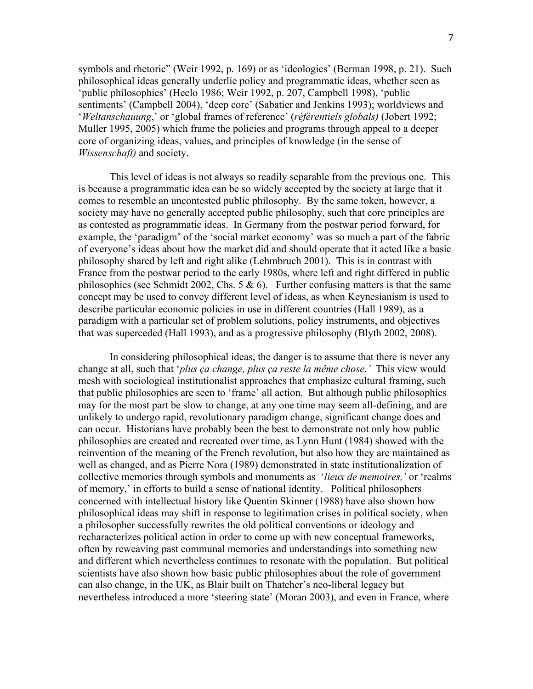symbols and rhetoric" (Weir 1992, p. 169) or as 'ideologies' (Berman 1998, p. 21). Such philosophical ideas generally underlie policy and programmatic ideas, whether seen as 'public philosophies' (Heclo 1986; Weir 1992, p. 207, Campbell 1998), 'public sentiments' (Campbell 2004), 'deep core' (Sabatier and Jenkins 1993); worldviews and '*Weltanschauung*,' or 'global frames of reference' (*référentiels globals)* (Jobert 1992; Muller 1995, 2005) which frame the policies and programs through appeal to a deeper core of organizing ideas, values, and principles of knowledge (in the sense of *Wissenschaft)* and society.

This level of ideas is not always so readily separable from the previous one. This is because a programmatic idea can be so widely accepted by the society at large that it comes to resemble an uncontested public philosophy. By the same token, however, a society may have no generally accepted public philosophy, such that core principles are as contested as programmatic ideas. In Germany from the postwar period forward, for example, the 'paradigm' of the 'social market economy' was so much a part of the fabric of everyone's ideas about how the market did and should operate that it acted like a basic philosophy shared by left and right alike (Lehmbruch 2001). This is in contrast with France from the postwar period to the early 1980s, where left and right differed in public philosophies (see Schmidt 2002, Chs. 5  $\&$  6). Further confusing matters is that the same concept may be used to convey different level of ideas, as when Keynesianism is used to describe particular economic policies in use in different countries (Hall 1989), as a paradigm with a particular set of problem solutions, policy instruments, and objectives that was superceded (Hall 1993), and as a progressive philosophy (Blyth 2002, 2008).

In considering philosophical ideas, the danger is to assume that there is never any change at all, such that '*plus ça change, plus ça reste la même chose.'* This view would mesh with sociological institutionalist approaches that emphasize cultural framing, such that public philosophies are seen to 'frame' all action. But although public philosophies may for the most part be slow to change, at any one time may seem all-defining, and are unlikely to undergo rapid, revolutionary paradigm change, significant change does and can occur. Historians have probably been the best to demonstrate not only how public philosophies are created and recreated over time, as Lynn Hunt (1984) showed with the reinvention of the meaning of the French revolution, but also how they are maintained as well as changed, and as Pierre Nora (1989) demonstrated in state institutionalization of collective memories through symbols and monuments as '*lieux de memoires,'* or 'realms of memory,' in efforts to build a sense of national identity. Political philosophers concerned with intellectual history like Quentin Skinner (1988) have also shown how philosophical ideas may shift in response to legitimation crises in political society, when a philosopher successfully rewrites the old political conventions or ideology and recharacterizes political action in order to come up with new conceptual frameworks, often by reweaving past communal memories and understandings into something new and different which nevertheless continues to resonate with the population. But political scientists have also shown how basic public philosophies about the role of government can also change, in the UK, as Blair built on Thatcher's neo-liberal legacy but nevertheless introduced a more 'steering state' (Moran 2003), and even in France, where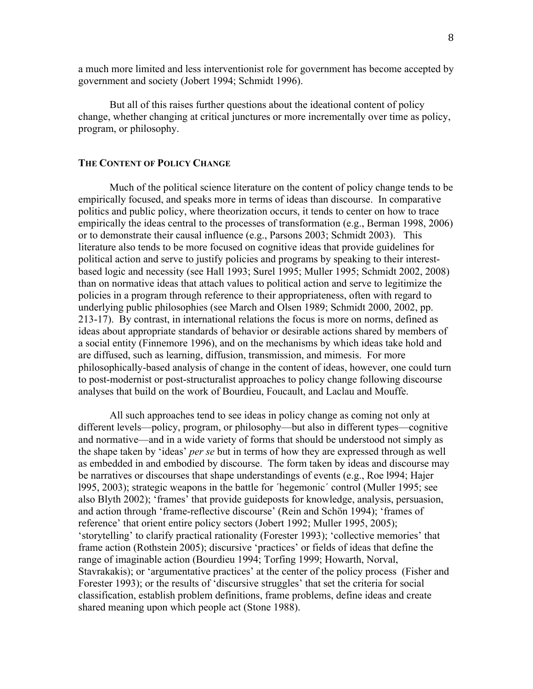a much more limited and less interventionist role for government has become accepted by government and society (Jobert 1994; Schmidt 1996).

But all of this raises further questions about the ideational content of policy change, whether changing at critical junctures or more incrementally over time as policy, program, or philosophy.

### **THE CONTENT OF POLICY CHANGE**

Much of the political science literature on the content of policy change tends to be empirically focused, and speaks more in terms of ideas than discourse. In comparative politics and public policy, where theorization occurs, it tends to center on how to trace empirically the ideas central to the processes of transformation (e.g., Berman 1998, 2006) or to demonstrate their causal influence (e.g., Parsons 2003; Schmidt 2003). This literature also tends to be more focused on cognitive ideas that provide guidelines for political action and serve to justify policies and programs by speaking to their interestbased logic and necessity (see Hall 1993; Surel 1995; Muller 1995; Schmidt 2002, 2008) than on normative ideas that attach values to political action and serve to legitimize the policies in a program through reference to their appropriateness, often with regard to underlying public philosophies (see March and Olsen 1989; Schmidt 2000, 2002, pp. 213-17). By contrast, in international relations the focus is more on norms, defined as ideas about appropriate standards of behavior or desirable actions shared by members of a social entity (Finnemore 1996), and on the mechanisms by which ideas take hold and are diffused, such as learning, diffusion, transmission, and mimesis. For more philosophically-based analysis of change in the content of ideas, however, one could turn to post-modernist or post-structuralist approaches to policy change following discourse analyses that build on the work of Bourdieu, Foucault, and Laclau and Mouffe.

All such approaches tend to see ideas in policy change as coming not only at different levels—policy, program, or philosophy—but also in different types—cognitive and normative—and in a wide variety of forms that should be understood not simply as the shape taken by 'ideas' *per se* but in terms of how they are expressed through as well as embedded in and embodied by discourse. The form taken by ideas and discourse may be narratives or discourses that shape understandings of events (e.g., Roe l994; Hajer l995, 2003); strategic weapons in the battle for ´hegemonic´ control (Muller 1995; see also Blyth 2002); 'frames' that provide guideposts for knowledge, analysis, persuasion, and action through 'frame-reflective discourse' (Rein and Schön 1994); 'frames of reference' that orient entire policy sectors (Jobert 1992; Muller 1995, 2005); 'storytelling' to clarify practical rationality (Forester 1993); 'collective memories' that frame action (Rothstein 2005); discursive 'practices' or fields of ideas that define the range of imaginable action (Bourdieu 1994; Torfing 1999; Howarth, Norval, Stavrakakis); or 'argumentative practices' at the center of the policy process (Fisher and Forester 1993); or the results of 'discursive struggles' that set the criteria for social classification, establish problem definitions, frame problems, define ideas and create shared meaning upon which people act (Stone 1988).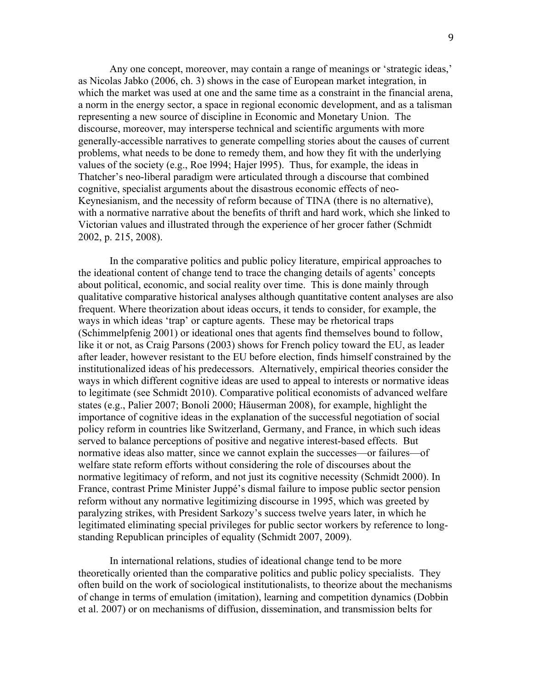Any one concept, moreover, may contain a range of meanings or 'strategic ideas,' as Nicolas Jabko (2006, ch. 3) shows in the case of European market integration, in which the market was used at one and the same time as a constraint in the financial arena, a norm in the energy sector, a space in regional economic development, and as a talisman representing a new source of discipline in Economic and Monetary Union. The discourse, moreover, may intersperse technical and scientific arguments with more generally-accessible narratives to generate compelling stories about the causes of current problems, what needs to be done to remedy them, and how they fit with the underlying values of the society (e.g., Roe l994; Hajer l995). Thus, for example, the ideas in Thatcher's neo-liberal paradigm were articulated through a discourse that combined cognitive, specialist arguments about the disastrous economic effects of neo-Keynesianism, and the necessity of reform because of TINA (there is no alternative), with a normative narrative about the benefits of thrift and hard work, which she linked to Victorian values and illustrated through the experience of her grocer father (Schmidt 2002, p. 215, 2008).

In the comparative politics and public policy literature, empirical approaches to the ideational content of change tend to trace the changing details of agents' concepts about political, economic, and social reality over time. This is done mainly through qualitative comparative historical analyses although quantitative content analyses are also frequent. Where theorization about ideas occurs, it tends to consider, for example, the ways in which ideas 'trap' or capture agents. These may be rhetorical traps (Schimmelpfenig 2001) or ideational ones that agents find themselves bound to follow, like it or not, as Craig Parsons (2003) shows for French policy toward the EU, as leader after leader, however resistant to the EU before election, finds himself constrained by the institutionalized ideas of his predecessors. Alternatively, empirical theories consider the ways in which different cognitive ideas are used to appeal to interests or normative ideas to legitimate (see Schmidt 2010). Comparative political economists of advanced welfare states (e.g., Palier 2007; Bonoli 2000; Häuserman 2008), for example, highlight the importance of cognitive ideas in the explanation of the successful negotiation of social policy reform in countries like Switzerland, Germany, and France, in which such ideas served to balance perceptions of positive and negative interest-based effects. But normative ideas also matter, since we cannot explain the successes—or failures—of welfare state reform efforts without considering the role of discourses about the normative legitimacy of reform, and not just its cognitive necessity (Schmidt 2000). In France, contrast Prime Minister Juppé's dismal failure to impose public sector pension reform without any normative legitimizing discourse in 1995, which was greeted by paralyzing strikes, with President Sarkozy's success twelve years later, in which he legitimated eliminating special privileges for public sector workers by reference to longstanding Republican principles of equality (Schmidt 2007, 2009).

In international relations, studies of ideational change tend to be more theoretically oriented than the comparative politics and public policy specialists. They often build on the work of sociological institutionalists, to theorize about the mechanisms of change in terms of emulation (imitation), learning and competition dynamics (Dobbin et al. 2007) or on mechanisms of diffusion, dissemination, and transmission belts for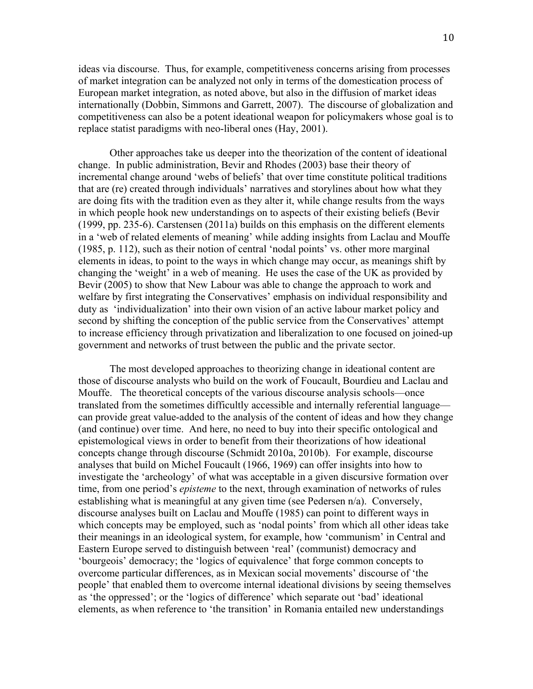ideas via discourse. Thus, for example, competitiveness concerns arising from processes of market integration can be analyzed not only in terms of the domestication process of European market integration, as noted above, but also in the diffusion of market ideas internationally (Dobbin, Simmons and Garrett, 2007). The discourse of globalization and competitiveness can also be a potent ideational weapon for policymakers whose goal is to replace statist paradigms with neo-liberal ones (Hay, 2001).

Other approaches take us deeper into the theorization of the content of ideational change. In public administration, Bevir and Rhodes (2003) base their theory of incremental change around 'webs of beliefs' that over time constitute political traditions that are (re) created through individuals' narratives and storylines about how what they are doing fits with the tradition even as they alter it, while change results from the ways in which people hook new understandings on to aspects of their existing beliefs (Bevir (1999, pp. 235-6). Carstensen (2011a) builds on this emphasis on the different elements in a 'web of related elements of meaning' while adding insights from Laclau and Mouffe (1985, p. 112), such as their notion of central 'nodal points' vs. other more marginal elements in ideas, to point to the ways in which change may occur, as meanings shift by changing the 'weight' in a web of meaning. He uses the case of the UK as provided by Bevir (2005) to show that New Labour was able to change the approach to work and welfare by first integrating the Conservatives' emphasis on individual responsibility and duty as 'individualization' into their own vision of an active labour market policy and second by shifting the conception of the public service from the Conservatives' attempt to increase efficiency through privatization and liberalization to one focused on joined-up government and networks of trust between the public and the private sector.

The most developed approaches to theorizing change in ideational content are those of discourse analysts who build on the work of Foucault, Bourdieu and Laclau and Mouffe. The theoretical concepts of the various discourse analysis schools—once translated from the sometimes difficultly accessible and internally referential language can provide great value-added to the analysis of the content of ideas and how they change (and continue) over time. And here, no need to buy into their specific ontological and epistemological views in order to benefit from their theorizations of how ideational concepts change through discourse (Schmidt 2010a, 2010b). For example, discourse analyses that build on Michel Foucault (1966, 1969) can offer insights into how to investigate the 'archeology' of what was acceptable in a given discursive formation over time, from one period's *episteme* to the next, through examination of networks of rules establishing what is meaningful at any given time (see Pedersen n/a). Conversely, discourse analyses built on Laclau and Mouffe (1985) can point to different ways in which concepts may be employed, such as 'nodal points' from which all other ideas take their meanings in an ideological system, for example, how 'communism' in Central and Eastern Europe served to distinguish between 'real' (communist) democracy and 'bourgeois' democracy; the 'logics of equivalence' that forge common concepts to overcome particular differences, as in Mexican social movements' discourse of 'the people' that enabled them to overcome internal ideational divisions by seeing themselves as 'the oppressed'; or the 'logics of difference' which separate out 'bad' ideational elements, as when reference to 'the transition' in Romania entailed new understandings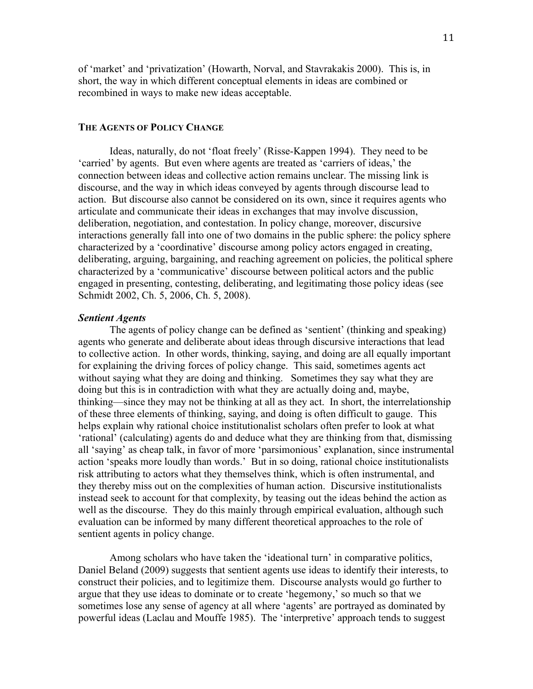of 'market' and 'privatization' (Howarth, Norval, and Stavrakakis 2000). This is, in short, the way in which different conceptual elements in ideas are combined or recombined in ways to make new ideas acceptable.

## **THE AGENTS OF POLICY CHANGE**

Ideas, naturally, do not 'float freely' (Risse-Kappen 1994). They need to be 'carried' by agents. But even where agents are treated as 'carriers of ideas,' the connection between ideas and collective action remains unclear. The missing link is discourse, and the way in which ideas conveyed by agents through discourse lead to action. But discourse also cannot be considered on its own, since it requires agents who articulate and communicate their ideas in exchanges that may involve discussion, deliberation, negotiation, and contestation. In policy change, moreover, discursive interactions generally fall into one of two domains in the public sphere: the policy sphere characterized by a 'coordinative' discourse among policy actors engaged in creating, deliberating, arguing, bargaining, and reaching agreement on policies, the political sphere characterized by a 'communicative' discourse between political actors and the public engaged in presenting, contesting, deliberating, and legitimating those policy ideas (see Schmidt 2002, Ch. 5, 2006, Ch. 5, 2008).

## *Sentient Agents*

The agents of policy change can be defined as 'sentient' (thinking and speaking) agents who generate and deliberate about ideas through discursive interactions that lead to collective action. In other words, thinking, saying, and doing are all equally important for explaining the driving forces of policy change. This said, sometimes agents act without saying what they are doing and thinking. Sometimes they say what they are doing but this is in contradiction with what they are actually doing and, maybe, thinking—since they may not be thinking at all as they act. In short, the interrelationship of these three elements of thinking, saying, and doing is often difficult to gauge. This helps explain why rational choice institutionalist scholars often prefer to look at what 'rational' (calculating) agents do and deduce what they are thinking from that, dismissing all 'saying' as cheap talk, in favor of more 'parsimonious' explanation, since instrumental action 'speaks more loudly than words.' But in so doing, rational choice institutionalists risk attributing to actors what they themselves think, which is often instrumental, and they thereby miss out on the complexities of human action. Discursive institutionalists instead seek to account for that complexity, by teasing out the ideas behind the action as well as the discourse. They do this mainly through empirical evaluation, although such evaluation can be informed by many different theoretical approaches to the role of sentient agents in policy change.

Among scholars who have taken the 'ideational turn' in comparative politics, Daniel Beland (2009) suggests that sentient agents use ideas to identify their interests, to construct their policies, and to legitimize them. Discourse analysts would go further to argue that they use ideas to dominate or to create 'hegemony,' so much so that we sometimes lose any sense of agency at all where 'agents' are portrayed as dominated by powerful ideas (Laclau and Mouffe 1985). The 'interpretive' approach tends to suggest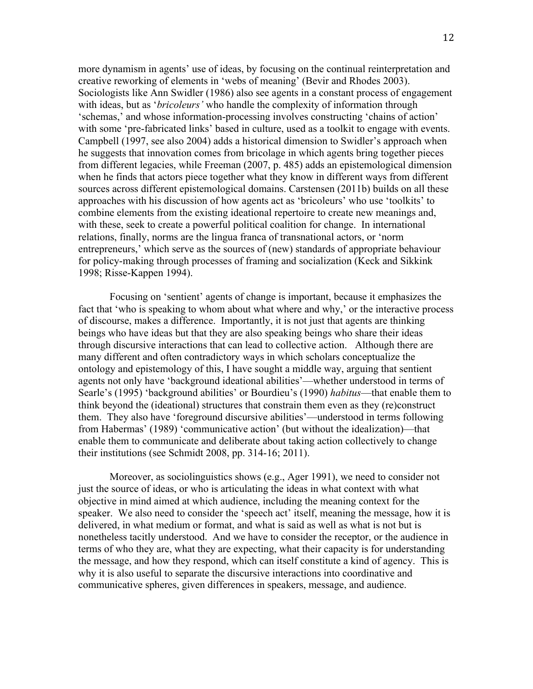more dynamism in agents' use of ideas, by focusing on the continual reinterpretation and creative reworking of elements in 'webs of meaning' (Bevir and Rhodes 2003). Sociologists like Ann Swidler (1986) also see agents in a constant process of engagement with ideas, but as '*bricoleurs'* who handle the complexity of information through 'schemas,' and whose information-processing involves constructing 'chains of action' with some 'pre-fabricated links' based in culture, used as a toolkit to engage with events. Campbell (1997, see also 2004) adds a historical dimension to Swidler's approach when he suggests that innovation comes from bricolage in which agents bring together pieces from different legacies, while Freeman (2007, p. 485) adds an epistemological dimension when he finds that actors piece together what they know in different ways from different sources across different epistemological domains. Carstensen (2011b) builds on all these approaches with his discussion of how agents act as 'bricoleurs' who use 'toolkits' to combine elements from the existing ideational repertoire to create new meanings and, with these, seek to create a powerful political coalition for change. In international relations, finally, norms are the lingua franca of transnational actors, or 'norm entrepreneurs,' which serve as the sources of (new) standards of appropriate behaviour for policy-making through processes of framing and socialization (Keck and Sikkink 1998; Risse-Kappen 1994).

Focusing on 'sentient' agents of change is important, because it emphasizes the fact that 'who is speaking to whom about what where and why,' or the interactive process of discourse, makes a difference. Importantly, it is not just that agents are thinking beings who have ideas but that they are also speaking beings who share their ideas through discursive interactions that can lead to collective action. Although there are many different and often contradictory ways in which scholars conceptualize the ontology and epistemology of this, I have sought a middle way, arguing that sentient agents not only have 'background ideational abilities'—whether understood in terms of Searle's (1995) 'background abilities' or Bourdieu's (1990) *habitus*—that enable them to think beyond the (ideational) structures that constrain them even as they (re)construct them. They also have 'foreground discursive abilities'—understood in terms following from Habermas' (1989) 'communicative action' (but without the idealization)—that enable them to communicate and deliberate about taking action collectively to change their institutions (see Schmidt 2008, pp. 314-16; 2011).

Moreover, as sociolinguistics shows (e.g., Ager 1991), we need to consider not just the source of ideas, or who is articulating the ideas in what context with what objective in mind aimed at which audience, including the meaning context for the speaker. We also need to consider the 'speech act' itself, meaning the message, how it is delivered, in what medium or format, and what is said as well as what is not but is nonetheless tacitly understood. And we have to consider the receptor, or the audience in terms of who they are, what they are expecting, what their capacity is for understanding the message, and how they respond, which can itself constitute a kind of agency. This is why it is also useful to separate the discursive interactions into coordinative and communicative spheres, given differences in speakers, message, and audience.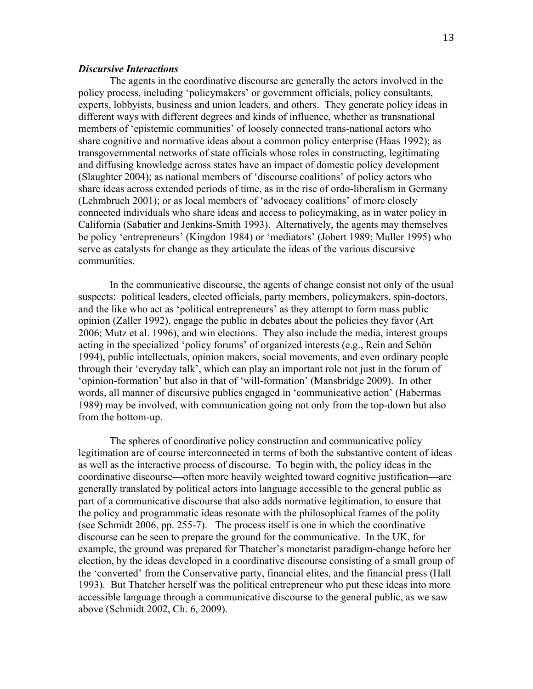### *Discursive Interactions*

The agents in the coordinative discourse are generally the actors involved in the policy process, including 'policymakers' or government officials, policy consultants, experts, lobbyists, business and union leaders, and others. They generate policy ideas in different ways with different degrees and kinds of influence, whether as transnational members of 'epistemic communities' of loosely connected trans-national actors who share cognitive and normative ideas about a common policy enterprise (Haas 1992); as transgovernmental networks of state officials whose roles in constructing, legitimating and diffusing knowledge across states have an impact of domestic policy development (Slaughter 2004); as national members of 'discourse coalitions' of policy actors who share ideas across extended periods of time, as in the rise of ordo-liberalism in Germany (Lehmbruch 2001); or as local members of 'advocacy coalitions' of more closely connected individuals who share ideas and access to policymaking, as in water policy in California (Sabatier and Jenkins-Smith 1993). Alternatively, the agents may themselves be policy 'entrepreneurs' (Kingdon 1984) or 'mediators' (Jobert 1989; Muller 1995) who serve as catalysts for change as they articulate the ideas of the various discursive communities.

In the communicative discourse, the agents of change consist not only of the usual suspects: political leaders, elected officials, party members, policymakers, spin-doctors, and the like who act as 'political entrepreneurs' as they attempt to form mass public opinion (Zaller 1992), engage the public in debates about the policies they favor (Art 2006; Mutz et al. 1996), and win elections. They also include the media, interest groups acting in the specialized 'policy forums' of organized interests (e.g., Rein and Schön 1994), public intellectuals, opinion makers, social movements, and even ordinary people through their 'everyday talk', which can play an important role not just in the forum of 'opinion-formation' but also in that of 'will-formation' (Mansbridge 2009). In other words, all manner of discursive publics engaged in 'communicative action' (Habermas 1989) may be involved, with communication going not only from the top-down but also from the bottom-up.

The spheres of coordinative policy construction and communicative policy legitimation are of course interconnected in terms of both the substantive content of ideas as well as the interactive process of discourse. To begin with, the policy ideas in the coordinative discourse—often more heavily weighted toward cognitive justification—are generally translated by political actors into language accessible to the general public as part of a communicative discourse that also adds normative legitimation, to ensure that the policy and programmatic ideas resonate with the philosophical frames of the polity (see Schmidt 2006, pp. 255-7). The process itself is one in which the coordinative discourse can be seen to prepare the ground for the communicative. In the UK, for example, the ground was prepared for Thatcher's monetarist paradigm-change before her election, by the ideas developed in a coordinative discourse consisting of a small group of the 'converted' from the Conservative party, financial elites, and the financial press (Hall 1993). But Thatcher herself was the political entrepreneur who put these ideas into more accessible language through a communicative discourse to the general public, as we saw above (Schmidt 2002, Ch. 6, 2009).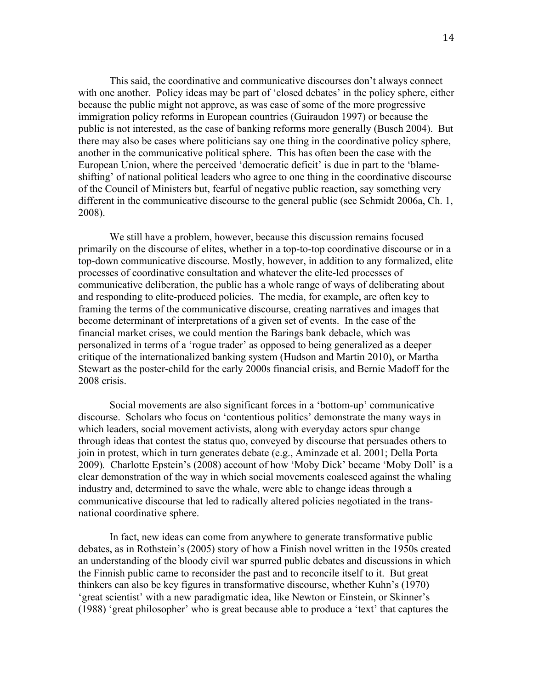This said, the coordinative and communicative discourses don't always connect with one another. Policy ideas may be part of 'closed debates' in the policy sphere, either because the public might not approve, as was case of some of the more progressive immigration policy reforms in European countries (Guiraudon 1997) or because the public is not interested, as the case of banking reforms more generally (Busch 2004). But there may also be cases where politicians say one thing in the coordinative policy sphere, another in the communicative political sphere. This has often been the case with the European Union, where the perceived 'democratic deficit' is due in part to the 'blameshifting' of national political leaders who agree to one thing in the coordinative discourse of the Council of Ministers but, fearful of negative public reaction, say something very different in the communicative discourse to the general public (see Schmidt 2006a, Ch. 1, 2008).

We still have a problem, however, because this discussion remains focused primarily on the discourse of elites, whether in a top-to-top coordinative discourse or in a top-down communicative discourse. Mostly, however, in addition to any formalized, elite processes of coordinative consultation and whatever the elite-led processes of communicative deliberation, the public has a whole range of ways of deliberating about and responding to elite-produced policies. The media, for example, are often key to framing the terms of the communicative discourse, creating narratives and images that become determinant of interpretations of a given set of events. In the case of the financial market crises, we could mention the Barings bank debacle, which was personalized in terms of a 'rogue trader' as opposed to being generalized as a deeper critique of the internationalized banking system (Hudson and Martin 2010), or Martha Stewart as the poster-child for the early 2000s financial crisis, and Bernie Madoff for the 2008 crisis.

Social movements are also significant forces in a 'bottom-up' communicative discourse. Scholars who focus on 'contentious politics' demonstrate the many ways in which leaders, social movement activists, along with everyday actors spur change through ideas that contest the status quo, conveyed by discourse that persuades others to join in protest, which in turn generates debate (e.g., Aminzade et al. 2001; Della Porta 2009)*.* Charlotte Epstein's (2008) account of how 'Moby Dick' became 'Moby Doll' is a clear demonstration of the way in which social movements coalesced against the whaling industry and, determined to save the whale, were able to change ideas through a communicative discourse that led to radically altered policies negotiated in the transnational coordinative sphere.

In fact, new ideas can come from anywhere to generate transformative public debates, as in Rothstein's (2005) story of how a Finish novel written in the 1950s created an understanding of the bloody civil war spurred public debates and discussions in which the Finnish public came to reconsider the past and to reconcile itself to it. But great thinkers can also be key figures in transformative discourse, whether Kuhn's (1970) 'great scientist' with a new paradigmatic idea, like Newton or Einstein, or Skinner's (1988) 'great philosopher' who is great because able to produce a 'text' that captures the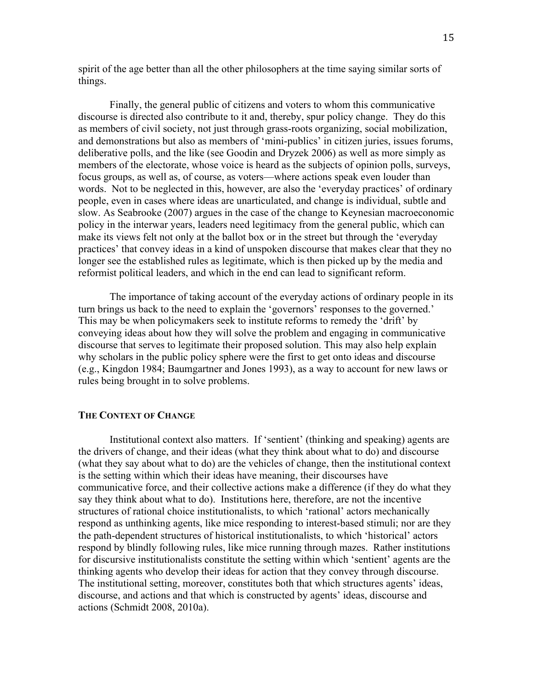spirit of the age better than all the other philosophers at the time saying similar sorts of things.

Finally, the general public of citizens and voters to whom this communicative discourse is directed also contribute to it and, thereby, spur policy change. They do this as members of civil society, not just through grass-roots organizing, social mobilization, and demonstrations but also as members of 'mini-publics' in citizen juries, issues forums, deliberative polls, and the like (see Goodin and Dryzek 2006) as well as more simply as members of the electorate, whose voice is heard as the subjects of opinion polls, surveys, focus groups, as well as, of course, as voters—where actions speak even louder than words. Not to be neglected in this, however, are also the 'everyday practices' of ordinary people, even in cases where ideas are unarticulated, and change is individual, subtle and slow. As Seabrooke (2007) argues in the case of the change to Keynesian macroeconomic policy in the interwar years, leaders need legitimacy from the general public, which can make its views felt not only at the ballot box or in the street but through the 'everyday practices' that convey ideas in a kind of unspoken discourse that makes clear that they no longer see the established rules as legitimate, which is then picked up by the media and reformist political leaders, and which in the end can lead to significant reform.

The importance of taking account of the everyday actions of ordinary people in its turn brings us back to the need to explain the 'governors' responses to the governed.' This may be when policymakers seek to institute reforms to remedy the 'drift' by conveying ideas about how they will solve the problem and engaging in communicative discourse that serves to legitimate their proposed solution. This may also help explain why scholars in the public policy sphere were the first to get onto ideas and discourse (e.g., Kingdon 1984; Baumgartner and Jones 1993), as a way to account for new laws or rules being brought in to solve problems.

## **THE CONTEXT OF CHANGE**

Institutional context also matters. If 'sentient' (thinking and speaking) agents are the drivers of change, and their ideas (what they think about what to do) and discourse (what they say about what to do) are the vehicles of change, then the institutional context is the setting within which their ideas have meaning, their discourses have communicative force, and their collective actions make a difference (if they do what they say they think about what to do). Institutions here, therefore, are not the incentive structures of rational choice institutionalists, to which 'rational' actors mechanically respond as unthinking agents, like mice responding to interest-based stimuli; nor are they the path-dependent structures of historical institutionalists, to which 'historical' actors respond by blindly following rules, like mice running through mazes. Rather institutions for discursive institutionalists constitute the setting within which 'sentient' agents are the thinking agents who develop their ideas for action that they convey through discourse. The institutional setting, moreover, constitutes both that which structures agents' ideas, discourse, and actions and that which is constructed by agents' ideas, discourse and actions (Schmidt 2008, 2010a).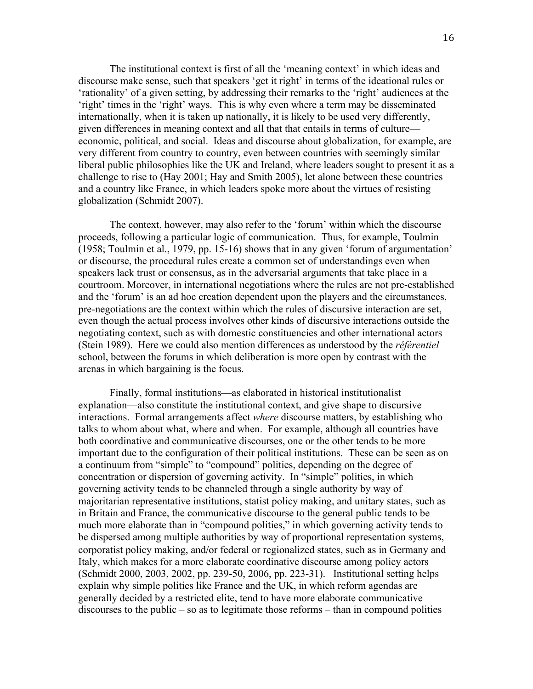The institutional context is first of all the 'meaning context' in which ideas and discourse make sense, such that speakers 'get it right' in terms of the ideational rules or 'rationality' of a given setting, by addressing their remarks to the 'right' audiences at the 'right' times in the 'right' ways. This is why even where a term may be disseminated internationally, when it is taken up nationally, it is likely to be used very differently, given differences in meaning context and all that that entails in terms of culture economic, political, and social. Ideas and discourse about globalization, for example, are very different from country to country, even between countries with seemingly similar liberal public philosophies like the UK and Ireland, where leaders sought to present it as a challenge to rise to (Hay 2001; Hay and Smith 2005), let alone between these countries and a country like France, in which leaders spoke more about the virtues of resisting globalization (Schmidt 2007).

The context, however, may also refer to the 'forum' within which the discourse proceeds, following a particular logic of communication. Thus, for example, Toulmin (1958; Toulmin et al., 1979, pp. 15-16) shows that in any given 'forum of argumentation' or discourse, the procedural rules create a common set of understandings even when speakers lack trust or consensus, as in the adversarial arguments that take place in a courtroom. Moreover, in international negotiations where the rules are not pre-established and the 'forum' is an ad hoc creation dependent upon the players and the circumstances, pre-negotiations are the context within which the rules of discursive interaction are set, even though the actual process involves other kinds of discursive interactions outside the negotiating context, such as with domestic constituencies and other international actors (Stein 1989). Here we could also mention differences as understood by the *référentiel*  school, between the forums in which deliberation is more open by contrast with the arenas in which bargaining is the focus.

Finally, formal institutions—as elaborated in historical institutionalist explanation—also constitute the institutional context, and give shape to discursive interactions. Formal arrangements affect *where* discourse matters, by establishing who talks to whom about what, where and when. For example, although all countries have both coordinative and communicative discourses, one or the other tends to be more important due to the configuration of their political institutions. These can be seen as on a continuum from "simple" to "compound" polities, depending on the degree of concentration or dispersion of governing activity. In "simple" polities, in which governing activity tends to be channeled through a single authority by way of majoritarian representative institutions, statist policy making, and unitary states, such as in Britain and France, the communicative discourse to the general public tends to be much more elaborate than in "compound polities," in which governing activity tends to be dispersed among multiple authorities by way of proportional representation systems, corporatist policy making, and/or federal or regionalized states, such as in Germany and Italy, which makes for a more elaborate coordinative discourse among policy actors (Schmidt 2000, 2003, 2002, pp. 239-50, 2006, pp. 223-31). Institutional setting helps explain why simple polities like France and the UK, in which reform agendas are generally decided by a restricted elite, tend to have more elaborate communicative discourses to the public – so as to legitimate those reforms – than in compound polities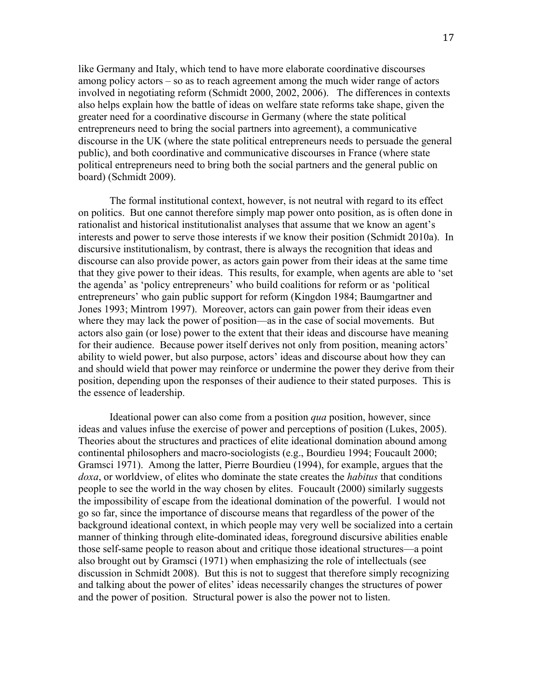like Germany and Italy, which tend to have more elaborate coordinative discourses among policy actors – so as to reach agreement among the much wider range of actors involved in negotiating reform (Schmidt 2000, 2002, 2006). The differences in contexts also helps explain how the battle of ideas on welfare state reforms take shape, given the greater need for a coordinative discours*e* in Germany (where the state political entrepreneurs need to bring the social partners into agreement), a communicative discourse in the UK (where the state political entrepreneurs needs to persuade the general public), and both coordinative and communicative discourses in France (where state political entrepreneurs need to bring both the social partners and the general public on board) (Schmidt 2009).

The formal institutional context, however, is not neutral with regard to its effect on politics. But one cannot therefore simply map power onto position, as is often done in rationalist and historical institutionalist analyses that assume that we know an agent's interests and power to serve those interests if we know their position (Schmidt 2010a). In discursive institutionalism, by contrast, there is always the recognition that ideas and discourse can also provide power, as actors gain power from their ideas at the same time that they give power to their ideas. This results, for example, when agents are able to 'set the agenda' as 'policy entrepreneurs' who build coalitions for reform or as 'political entrepreneurs' who gain public support for reform (Kingdon 1984; Baumgartner and Jones 1993; Mintrom 1997). Moreover, actors can gain power from their ideas even where they may lack the power of position—as in the case of social movements. But actors also gain (or lose) power to the extent that their ideas and discourse have meaning for their audience. Because power itself derives not only from position, meaning actors' ability to wield power, but also purpose, actors' ideas and discourse about how they can and should wield that power may reinforce or undermine the power they derive from their position, depending upon the responses of their audience to their stated purposes. This is the essence of leadership.

Ideational power can also come from a position *qua* position, however, since ideas and values infuse the exercise of power and perceptions of position (Lukes, 2005). Theories about the structures and practices of elite ideational domination abound among continental philosophers and macro-sociologists (e.g., Bourdieu 1994; Foucault 2000; Gramsci 1971). Among the latter, Pierre Bourdieu (1994), for example, argues that the *doxa*, or worldview, of elites who dominate the state creates the *habitus* that conditions people to see the world in the way chosen by elites. Foucault (2000) similarly suggests the impossibility of escape from the ideational domination of the powerful. I would not go so far, since the importance of discourse means that regardless of the power of the background ideational context, in which people may very well be socialized into a certain manner of thinking through elite-dominated ideas, foreground discursive abilities enable those self-same people to reason about and critique those ideational structures—a point also brought out by Gramsci (1971) when emphasizing the role of intellectuals (see discussion in Schmidt 2008). But this is not to suggest that therefore simply recognizing and talking about the power of elites' ideas necessarily changes the structures of power and the power of position. Structural power is also the power not to listen.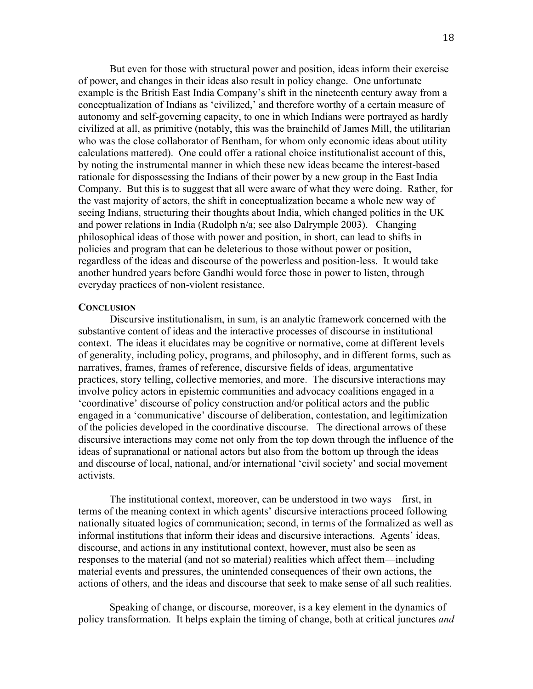But even for those with structural power and position, ideas inform their exercise of power, and changes in their ideas also result in policy change. One unfortunate example is the British East India Company's shift in the nineteenth century away from a conceptualization of Indians as 'civilized,' and therefore worthy of a certain measure of autonomy and self-governing capacity, to one in which Indians were portrayed as hardly civilized at all, as primitive (notably, this was the brainchild of James Mill, the utilitarian who was the close collaborator of Bentham, for whom only economic ideas about utility calculations mattered). One could offer a rational choice institutionalist account of this, by noting the instrumental manner in which these new ideas became the interest-based rationale for dispossessing the Indians of their power by a new group in the East India Company. But this is to suggest that all were aware of what they were doing. Rather, for the vast majority of actors, the shift in conceptualization became a whole new way of seeing Indians, structuring their thoughts about India, which changed politics in the UK and power relations in India (Rudolph n/a; see also Dalrymple 2003). Changing philosophical ideas of those with power and position, in short, can lead to shifts in policies and program that can be deleterious to those without power or position, regardless of the ideas and discourse of the powerless and position-less. It would take another hundred years before Gandhi would force those in power to listen, through everyday practices of non-violent resistance.

#### **CONCLUSION**

Discursive institutionalism, in sum, is an analytic framework concerned with the substantive content of ideas and the interactive processes of discourse in institutional context. The ideas it elucidates may be cognitive or normative, come at different levels of generality, including policy, programs, and philosophy, and in different forms, such as narratives, frames, frames of reference, discursive fields of ideas, argumentative practices, story telling, collective memories, and more. The discursive interactions may involve policy actors in epistemic communities and advocacy coalitions engaged in a 'coordinative' discourse of policy construction and/or political actors and the public engaged in a 'communicative' discourse of deliberation, contestation, and legitimization of the policies developed in the coordinative discourse. The directional arrows of these discursive interactions may come not only from the top down through the influence of the ideas of supranational or national actors but also from the bottom up through the ideas and discourse of local, national, and/or international 'civil society' and social movement activists.

The institutional context, moreover, can be understood in two ways—first, in terms of the meaning context in which agents' discursive interactions proceed following nationally situated logics of communication; second, in terms of the formalized as well as informal institutions that inform their ideas and discursive interactions. Agents' ideas, discourse, and actions in any institutional context, however, must also be seen as responses to the material (and not so material) realities which affect them—including material events and pressures, the unintended consequences of their own actions, the actions of others, and the ideas and discourse that seek to make sense of all such realities.

Speaking of change, or discourse, moreover, is a key element in the dynamics of policy transformation. It helps explain the timing of change, both at critical junctures *and*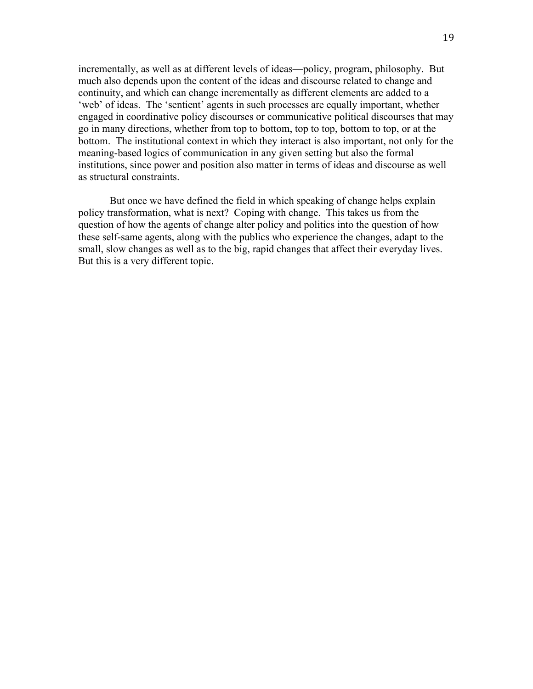incrementally, as well as at different levels of ideas—policy, program, philosophy. But much also depends upon the content of the ideas and discourse related to change and continuity, and which can change incrementally as different elements are added to a 'web' of ideas. The 'sentient' agents in such processes are equally important, whether engaged in coordinative policy discourses or communicative political discourses that may go in many directions, whether from top to bottom, top to top, bottom to top, or at the bottom. The institutional context in which they interact is also important, not only for the meaning-based logics of communication in any given setting but also the formal institutions, since power and position also matter in terms of ideas and discourse as well as structural constraints.

But once we have defined the field in which speaking of change helps explain policy transformation, what is next? Coping with change. This takes us from the question of how the agents of change alter policy and politics into the question of how these self-same agents, along with the publics who experience the changes, adapt to the small, slow changes as well as to the big, rapid changes that affect their everyday lives. But this is a very different topic.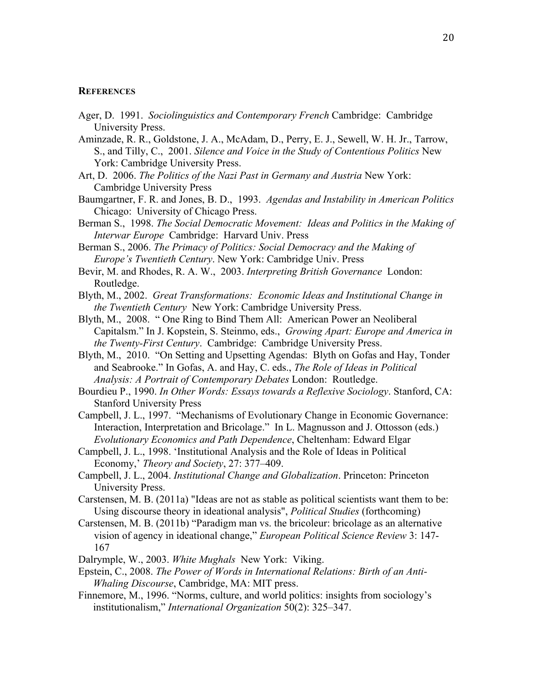#### **REFERENCES**

- Ager, D. 1991. *Sociolinguistics and Contemporary French* Cambridge: Cambridge University Press.
- Aminzade, R. R., Goldstone, J. A., McAdam, D., Perry, E. J., Sewell, W. H. Jr., Tarrow, S., and Tilly, C., 2001. *Silence and Voice in the Study of Contentious Politics* New York: Cambridge University Press.
- Art, D. 2006. *The Politics of the Nazi Past in Germany and Austria* New York: Cambridge University Press
- Baumgartner, F. R. and Jones, B. D., 1993. *Agendas and Instability in American Politics* Chicago: University of Chicago Press.
- Berman S., 1998. *The Social Democratic Movement: Ideas and Politics in the Making of Interwar Europe* Cambridge: Harvard Univ. Press
- Berman S., 2006. *The Primacy of Politics: Social Democracy and the Making of Europe's Twentieth Century*. New York: Cambridge Univ. Press
- Bevir, M. and Rhodes, R. A. W., 2003. *Interpreting British Governance* London: Routledge.
- Blyth, M., 2002. *Great Transformations: Economic Ideas and Institutional Change in the Twentieth Century* New York: Cambridge University Press.
- Blyth, M., 2008. " One Ring to Bind Them All: American Power an Neoliberal Capitalsm." In J. Kopstein, S. Steinmo, eds., *Growing Apart: Europe and America in the Twenty-First Century*. Cambridge: Cambridge University Press.
- Blyth, M., 2010. "On Setting and Upsetting Agendas: Blyth on Gofas and Hay, Tonder and Seabrooke." In Gofas, A. and Hay, C. eds., *The Role of Ideas in Political Analysis: A Portrait of Contemporary Debates* London: Routledge.
- Bourdieu P., 1990. *In Other Words: Essays towards a Reflexive Sociology*. Stanford, CA: Stanford University Press
- Campbell, J. L., 1997. "Mechanisms of Evolutionary Change in Economic Governance: Interaction, Interpretation and Bricolage." In L. Magnusson and J. Ottosson (eds.) *Evolutionary Economics and Path Dependence*, Cheltenham: Edward Elgar
- Campbell, J. L., 1998. 'Institutional Analysis and the Role of Ideas in Political Economy,' *Theory and Society*, 27: 377–409.
- Campbell, J. L., 2004. *Institutional Change and Globalization*. Princeton: Princeton University Press.
- Carstensen, M. B. (2011a) "Ideas are not as stable as political scientists want them to be: Using discourse theory in ideational analysis", *Political Studies* (forthcoming)
- Carstensen, M. B. (2011b) "Paradigm man vs. the bricoleur: bricolage as an alternative vision of agency in ideational change," *European Political Science Review* 3: 147- 167
- Dalrymple, W., 2003. *White Mughals* New York: Viking.
- Epstein, C., 2008. *The Power of Words in International Relations: Birth of an Anti-Whaling Discourse*, Cambridge, MA: MIT press.
- Finnemore, M., 1996. "Norms, culture, and world politics: insights from sociology's institutionalism," *International Organization* 50(2): 325–347.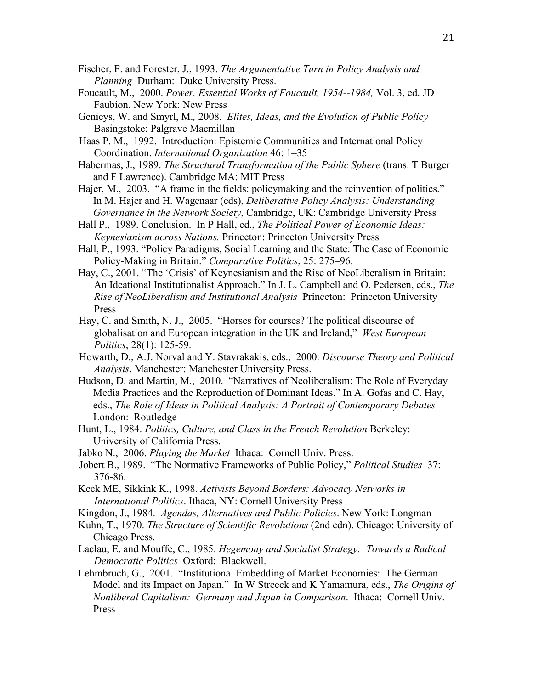- Fischer, F. and Forester, J., 1993. *The Argumentative Turn in Policy Analysis and Planning* Durham: Duke University Press.
- Foucault, M., 2000. *Power. Essential Works of Foucault, 1954--1984,* Vol. 3, ed. JD Faubion. New York: New Press
- Genieys, W. and Smyrl, M.*,* 2008. *Elites, Ideas, and the Evolution of Public Policy* Basingstoke: Palgrave Macmillan
- Haas P. M., 1992. Introduction: Epistemic Communities and International Policy Coordination. *International Organization* 46: 1–35
- Habermas, J., 1989. *The Structural Transformation of the Public Sphere* (trans. T Burger and F Lawrence). Cambridge MA: MIT Press
- Hajer, M., 2003. "A frame in the fields: policymaking and the reinvention of politics." In M. Hajer and H. Wagenaar (eds), *Deliberative Policy Analysis: Understanding Governance in the Network Society*, Cambridge, UK: Cambridge University Press
- Hall P., 1989. Conclusion. In P Hall, ed., *The Political Power of Economic Ideas: Keynesianism across Nations.* Princeton: Princeton University Press
- Hall, P., 1993. "Policy Paradigms, Social Learning and the State: The Case of Economic Policy-Making in Britain." *Comparative Politics*, 25: 275–96.
- Hay, C., 2001. "The 'Crisis' of Keynesianism and the Rise of NeoLiberalism in Britain: An Ideational Institutionalist Approach." In J. L. Campbell and O. Pedersen, eds., *The Rise of NeoLiberalism and Institutional Analysis* Princeton: Princeton University Press
- Hay, C. and Smith, N. J., 2005. "Horses for courses? The political discourse of globalisation and European integration in the UK and Ireland," *West European Politics*, 28(1): 125-59.
- Howarth, D., A.J. Norval and Y. Stavrakakis, eds., 2000. *Discourse Theory and Political Analysis*, Manchester: Manchester University Press.
- Hudson, D. and Martin, M., 2010. "Narratives of Neoliberalism: The Role of Everyday Media Practices and the Reproduction of Dominant Ideas." In A. Gofas and C. Hay, eds., *The Role of Ideas in Political Analysis: A Portrait of Contemporary Debates*  London: Routledge
- Hunt, L., 1984. *Politics, Culture, and Class in the French Revolution* Berkeley: University of California Press.
- Jabko N., 2006. *Playing the Market* Ithaca: Cornell Univ. Press.
- Jobert B., 1989. "The Normative Frameworks of Public Policy," *Political Studies* 37: 376-86.
- Keck ME, Sikkink K., 1998. *Activists Beyond Borders: Advocacy Networks in International Politics*. Ithaca, NY: Cornell University Press
- Kingdon, J., 1984. *Agendas, Alternatives and Public Policies*. New York: Longman
- Kuhn, T., 1970. *The Structure of Scientific Revolutions* (2nd edn). Chicago: University of Chicago Press.
- Laclau, E. and Mouffe, C., 1985. *Hegemony and Socialist Strategy: Towards a Radical Democratic Politics* Oxford: Blackwell.
- Lehmbruch, G., 2001. "Institutional Embedding of Market Economies: The German Model and its Impact on Japan." In W Streeck and K Yamamura, eds., *The Origins of Nonliberal Capitalism: Germany and Japan in Comparison*. Ithaca: Cornell Univ. Press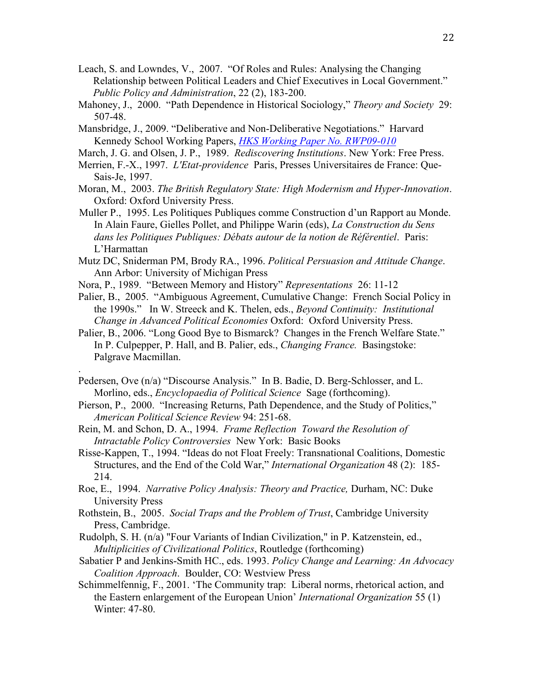- Leach, S. and Lowndes, V., 2007. "Of Roles and Rules: Analysing the Changing Relationship between Political Leaders and Chief Executives in Local Government." *Public Policy and Administration*, 22 (2), 183-200.
- Mahoney, J., 2000. "Path Dependence in Historical Sociology," *Theory and Society* 29: 507-48.
- Mansbridge, J., 2009. "Deliberative and Non-Deliberative Negotiations." Harvard Kennedy School Working Papers, *HKS Working Paper No. RWP09-010*
- March, J. G. and Olsen, J. P., 1989. *Rediscovering Institutions*. New York: Free Press.
- Merrien, F.-X., 1997. *L'Etat-providence* Paris, Presses Universitaires de France: Que-Sais-Je, 1997.
- Moran, M., 2003. *The British Regulatory State: High Modernism and Hyper-Innovation*. Oxford: Oxford University Press.
- Muller P., 1995. Les Politiques Publiques comme Construction d'un Rapport au Monde. In Alain Faure, Gielles Pollet, and Philippe Warin (eds), *La Construction du Sens dans les Politiques Publiques: Débats autour de la notion de Référentiel*. Paris: L'Harmattan
- Mutz DC, Sniderman PM, Brody RA., 1996. *Political Persuasion and Attitude Change*. Ann Arbor: University of Michigan Press
- Nora, P., 1989. "Between Memory and History" *Representations* 26: 11-12
- Palier, B., 2005. "Ambiguous Agreement, Cumulative Change: French Social Policy in the 1990s." In W. Streeck and K. Thelen, eds., *Beyond Continuity: Institutional Change in Advanced Political Economies* Oxford: Oxford University Press.
- Palier, B., 2006. "Long Good Bye to Bismarck? Changes in the French Welfare State." In P. Culpepper, P. Hall, and B. Palier, eds., *Changing France.* Basingstoke: Palgrave Macmillan.
- Pedersen, Ove (n/a) "Discourse Analysis." In B. Badie, D. Berg-Schlosser, and L. Morlino, eds., *Encyclopaedia of Political Science* Sage (forthcoming).

.

- Pierson, P., 2000. "Increasing Returns, Path Dependence, and the Study of Politics," *American Political Science Review* 94: 251-68.
- Rein, M. and Schon, D. A., 1994. *Frame Reflection Toward the Resolution of Intractable Policy Controversies* New York: Basic Books
- Risse-Kappen, T., 1994. "Ideas do not Float Freely: Transnational Coalitions, Domestic Structures, and the End of the Cold War," *International Organization* 48 (2): 185- 214.
- Roe, E., 1994. *Narrative Policy Analysis: Theory and Practice,* Durham, NC: Duke University Press
- Rothstein, B., 2005. *Social Traps and the Problem of Trust*, Cambridge University Press, Cambridge.
- Rudolph, S. H. (n/a) "Four Variants of Indian Civilization," in P. Katzenstein, ed., *Multiplicities of Civilizational Politics*, Routledge (forthcoming)
- Sabatier P and Jenkins-Smith HC., eds. 1993. *Policy Change and Learning: An Advocacy Coalition Approach*. Boulder, CO: Westview Press
- Schimmelfennig, F., 2001. 'The Community trap: Liberal norms, rhetorical action, and the Eastern enlargement of the European Union' *International Organization* 55 (1) Winter: 47-80.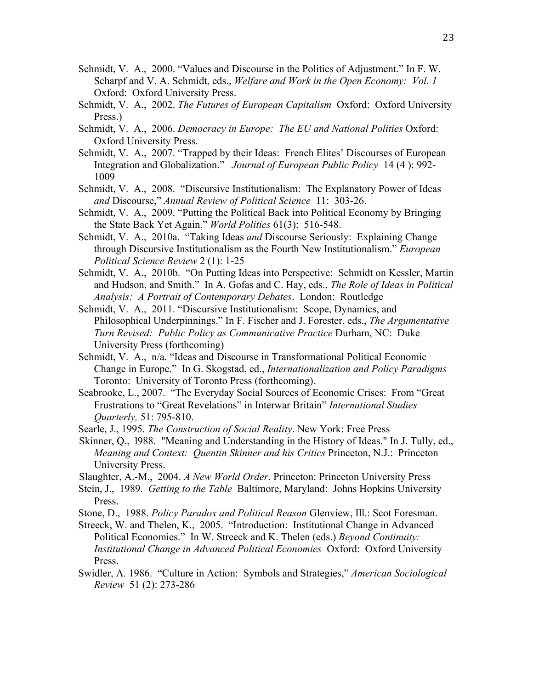- Schmidt, V. A., 2000. "Values and Discourse in the Politics of Adjustment." In F. W. Scharpf and V. A. Schmidt, eds., *Welfare and Work in the Open Economy: Vol. 1* Oxford: Oxford University Press.
- Schmidt, V. A., 2002. *The Futures of European Capitalism* Oxford: Oxford University Press.)
- Schmidt, V. A., 2006. *Democracy in Europe: The EU and National Polities* Oxford: Oxford University Press.
- Schmidt, V. A., 2007. "Trapped by their Ideas: French Elites' Discourses of European Integration and Globalization." *Journal of European Public Policy* 14 (4 ): 992- 1009
- Schmidt, V. A., 2008. "Discursive Institutionalism: The Explanatory Power of Ideas *and* Discourse," *Annual Review of Political Science* 11: 303-26.
- Schmidt, V. A., 2009. "Putting the Political Back into Political Economy by Bringing the State Back Yet Again." *World Politics* 61(3): 516-548.
- Schmidt, V. A., 2010a. "Taking Ideas *and* Discourse Seriously: Explaining Change through Discursive Institutionalism as the Fourth New Institutionalism." *European Political Science Review* 2 (1): 1-25
- Schmidt, V. A., 2010b. "On Putting Ideas into Perspective: Schmidt on Kessler, Martin and Hudson, and Smith." In A. Gofas and C. Hay, eds., *The Role of Ideas in Political Analysis: A Portrait of Contemporary Debates*. London: Routledge
- Schmidt, V. A., 2011. "Discursive Institutionalism: Scope, Dynamics, and Philosophical Underpinnings." In F. Fischer and J. Forester, eds., *The Argumentative Turn Revised: Public Policy as Communicative Practice* Durham, NC: Duke University Press (forthcoming)
- Schmidt, V. A., n/a. "Ideas and Discourse in Transformational Political Economic Change in Europe." In G. Skogstad, ed., *Internationalization and Policy Paradigms*  Toronto: University of Toronto Press (forthcoming).
- Seabrooke, L., 2007. "The Everyday Social Sources of Economic Crises: From "Great Frustrations to "Great Revelations" in Interwar Britain" *International Studies Quarterly,* 51: 795-810.
- Searle, J., 1995. *The Construction of Social Reality*. New York: Free Press
- Skinner, Q., l988. "Meaning and Understanding in the History of Ideas." In J. Tully, ed., *Meaning and Context: Quentin Skinner and his Critics* Princeton, N.J.: Princeton University Press.
- Slaughter, A.-M., 2004. *A New World Order*. Princeton: Princeton University Press
- Stein, J., 1989. *Getting to the Table* Baltimore, Maryland: Johns Hopkins University Press.
- Stone, D., 1988. *Policy Paradox and Political Reason* Glenview, Ill.: Scot Foresman.
- Streeck, W. and Thelen, K., 2005. "Introduction: Institutional Change in Advanced Political Economies." In W. Streeck and K. Thelen (eds.) *Beyond Continuity: Institutional Change in Advanced Political Economies* Oxford: Oxford University Press.
- Swidler, A. 1986. "Culture in Action: Symbols and Strategies," *American Sociological Review* 51 (2): 273-286